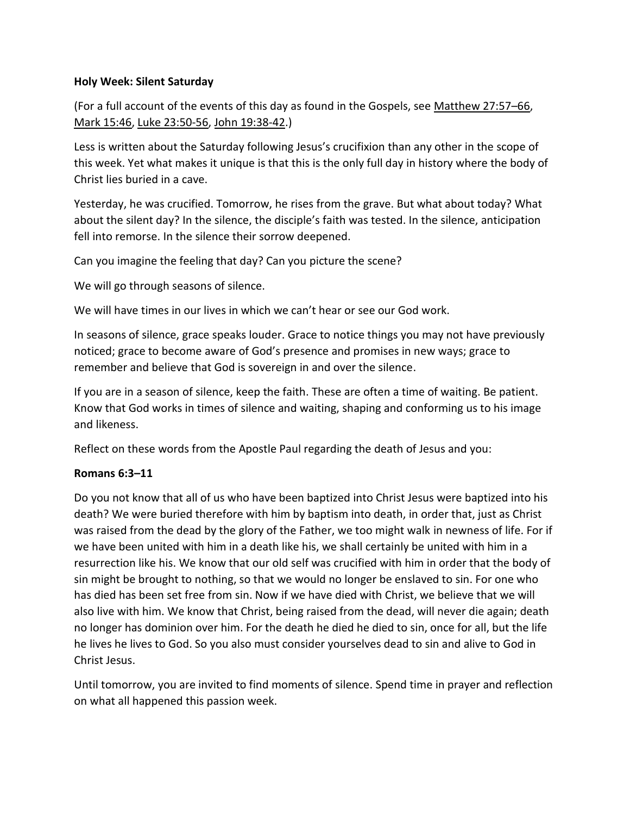## **Holy Week: Silent Saturday**

(For a full account of the events of this day as found in the Gospels, see [Matthew 27:57](https://www.esv.org/Matthew%2027%3A62%E2%80%9366/)–66, Mark 15:46, Luke 23:50-56, John 19:38-42.)

Less is written about the Saturday following Jesus's crucifixion than any other in the scope of this week. Yet what makes it unique is that this is the only full day in history where the body of Christ lies buried in a cave.

Yesterday, he was crucified. Tomorrow, he rises from the grave. But what about today? What about the silent day? In the silence, the disciple's faith was tested. In the silence, anticipation fell into remorse. In the silence their sorrow deepened.

Can you imagine the feeling that day? Can you picture the scene?

We will go through seasons of silence.

We will have times in our lives in which we can't hear or see our God work.

In seasons of silence, grace speaks louder. Grace to notice things you may not have previously noticed; grace to become aware of God's presence and promises in new ways; grace to remember and believe that God is sovereign in and over the silence.

If you are in a season of silence, keep the faith. These are often a time of waiting. Be patient. Know that God works in times of silence and waiting, shaping and conforming us to his image and likeness.

Reflect on these words from the Apostle Paul regarding the death of Jesus and you:

## **Romans 6:3–11**

Do you not know that all of us who have been baptized into Christ Jesus were baptized into his death? We were buried therefore with him by baptism into death, in order that, just as Christ was raised from the dead by the glory of the Father, we too might walk in newness of life. For if we have been united with him in a death like his, we shall certainly be united with him in a resurrection like his. We know that our old self was crucified with him in order that the body of sin might be brought to nothing, so that we would no longer be enslaved to sin. For one who has died has been set free from sin. Now if we have died with Christ, we believe that we will also live with him. We know that Christ, being raised from the dead, will never die again; death no longer has dominion over him. For the death he died he died to sin, once for all, but the life he lives he lives to God. So you also must consider yourselves dead to sin and alive to God in Christ Jesus.

Until tomorrow, you are invited to find moments of silence. Spend time in prayer and reflection on what all happened this passion week.